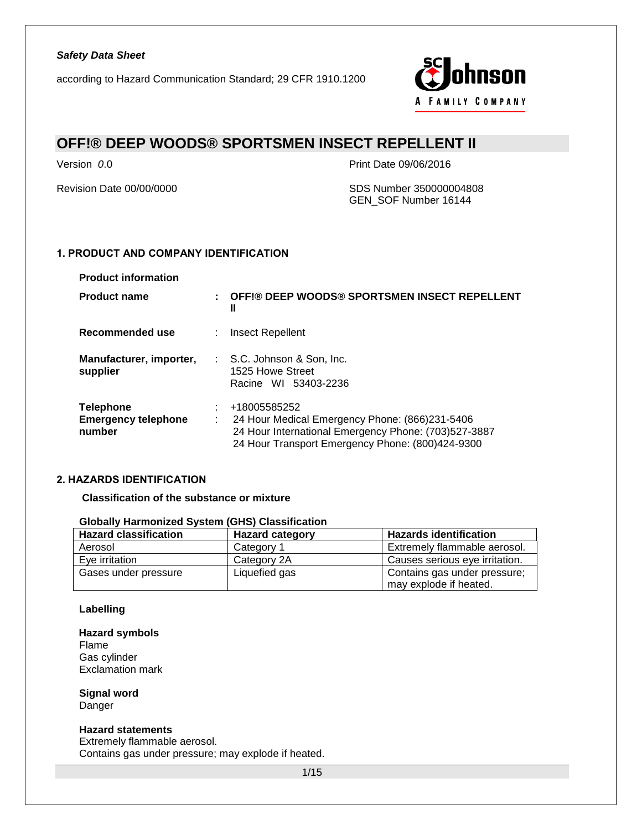

# **OFF!® DEEP WOODS® SPORTSMEN INSECT REPELLENT II**

Version *0*.0 Print Date 09/06/2016

Revision Date 00/00/0000 SDS Number 350000004808 GEN\_SOF Number 16144

### **1. PRODUCT AND COMPANY IDENTIFICATION**

| <b>Product name</b>                                      | ÷  | OFF!® DEEP WOODS® SPORTSMEN INSECT REPELLENT<br>Ш                                                                                                                          |
|----------------------------------------------------------|----|----------------------------------------------------------------------------------------------------------------------------------------------------------------------------|
| Recommended use                                          |    | Insect Repellent                                                                                                                                                           |
| Manufacturer, importer,<br>supplier                      |    | : S.C. Johnson & Son, Inc.<br>1525 Howe Street<br>Racine WI 53403-2236                                                                                                     |
| <b>Telephone</b><br><b>Emergency telephone</b><br>number | ÷. | +18005585252<br>24 Hour Medical Emergency Phone: (866)231-5406<br>24 Hour International Emergency Phone: (703)527-3887<br>24 Hour Transport Emergency Phone: (800)424-9300 |

#### **2. HAZARDS IDENTIFICATION**

**Classification of the substance or mixture**

**Globally Harmonized System (GHS) Classification**

| <b>Hazard classification</b> | <b>Hazard category</b> | <b>Hazards identification</b>                          |
|------------------------------|------------------------|--------------------------------------------------------|
| Aerosol                      | Category 1             | Extremely flammable aerosol.                           |
| Eve irritation               | Category 2A            | Causes serious eye irritation.                         |
| Gases under pressure         | Liquefied gas          | Contains gas under pressure;<br>may explode if heated. |

#### **Labelling**

#### **Hazard symbols** Flame Gas cylinder Exclamation mark

**Signal word** Danger

#### **Hazard statements**

Extremely flammable aerosol. Contains gas under pressure; may explode if heated.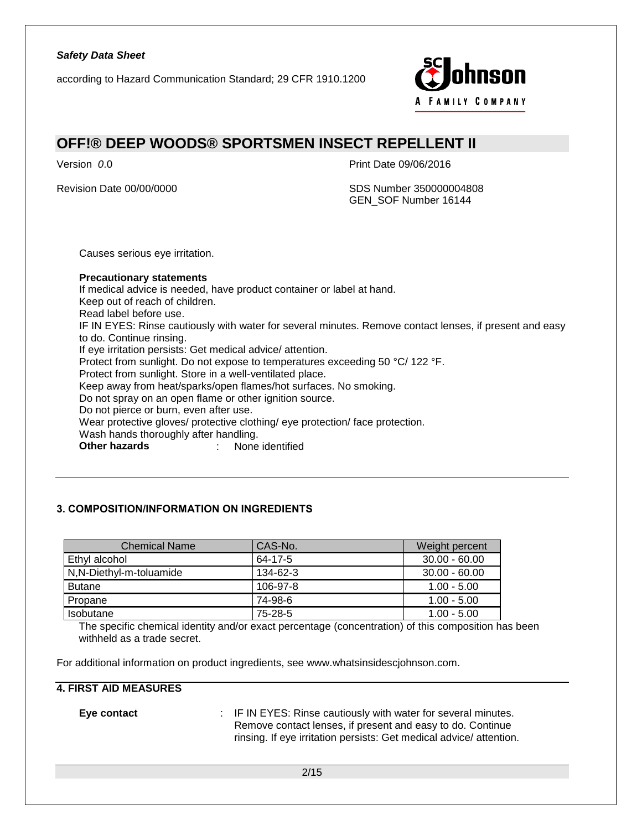according to Hazard Communication Standard; 29 CFR 1910.1200



### **OFF!® DEEP WOODS® SPORTSMEN INSECT REPELLENT II**

Version *0*.0 Print Date 09/06/2016

Revision Date 00/00/0000 SDS Number 350000004808 GEN\_SOF Number 16144

Causes serious eye irritation.

**Precautionary statements** If medical advice is needed, have product container or label at hand. Keep out of reach of children. Read label before use. IF IN EYES: Rinse cautiously with water for several minutes. Remove contact lenses, if present and easy to do. Continue rinsing. If eye irritation persists: Get medical advice/ attention. Protect from sunlight. Do not expose to temperatures exceeding 50 °C/ 122 °F. Protect from sunlight. Store in a well-ventilated place. Keep away from heat/sparks/open flames/hot surfaces. No smoking. Do not spray on an open flame or other ignition source. Do not pierce or burn, even after use. Wear protective gloves/ protective clothing/ eye protection/ face protection. Wash hands thoroughly after handling. **Other hazards** : None identified

#### **3. COMPOSITION/INFORMATION ON INGREDIENTS**

| <b>Chemical Name</b>    | CAS-No.  | Weight percent  |
|-------------------------|----------|-----------------|
| Ethyl alcohol           | 64-17-5  | $30.00 - 60.00$ |
| N,N-Diethyl-m-toluamide | 134-62-3 | $30.00 - 60.00$ |
| <b>Butane</b>           | 106-97-8 | $1.00 - 5.00$   |
| Propane                 | 74-98-6  | $1.00 - 5.00$   |
| Isobutane               | 75-28-5  | $1.00 - 5.00$   |

The specific chemical identity and/or exact percentage (concentration) of this composition has been withheld as a trade secret.

For additional information on product ingredients, see www.whatsinsidescjohnson.com.

#### **4. FIRST AID MEASURES**

**Eye contact** : IF IN EYES: Rinse cautiously with water for several minutes. Remove contact lenses, if present and easy to do. Continue rinsing. If eye irritation persists: Get medical advice/ attention.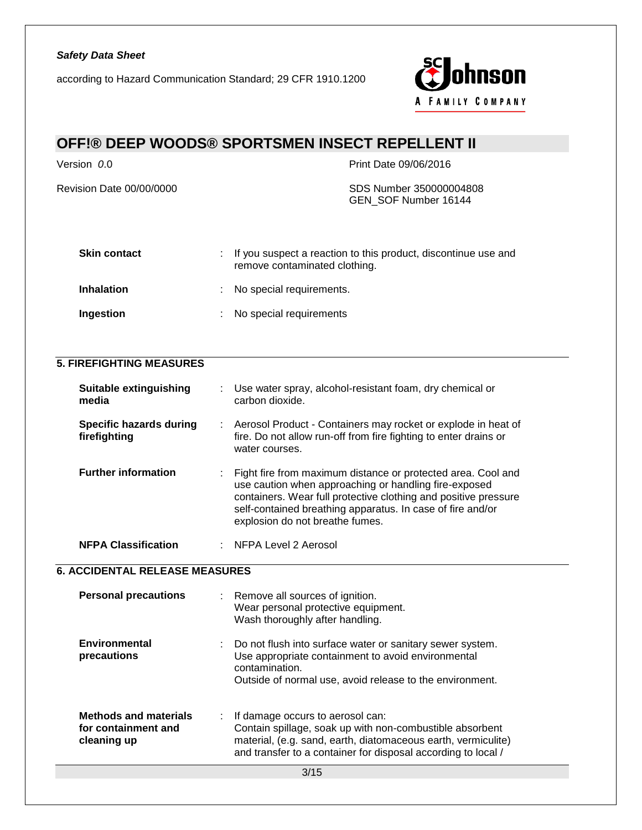according to Hazard Communication Standard; 29 CFR 1910.1200



# **OFF!® DEEP WOODS® SPORTSMEN INSECT REPELLENT II**

Revision Date 00/00/0000 SDS Number 350000004808

Version *0*.0 Print Date 09/06/2016

GEN\_SOF Number 16144

| <b>Skin contact</b> | : If you suspect a reaction to this product, discontinue use and<br>remove contaminated clothing. |
|---------------------|---------------------------------------------------------------------------------------------------|
| <b>Inhalation</b>   | : No special requirements.                                                                        |
| Ingestion           | : No special requirements                                                                         |

### **5. FIREFIGHTING MEASURES**

| <b>Suitable extinguishing</b><br>media         | Use water spray, alcohol-resistant foam, dry chemical or<br>carbon dioxide.                                                                                                                                                                                                               |
|------------------------------------------------|-------------------------------------------------------------------------------------------------------------------------------------------------------------------------------------------------------------------------------------------------------------------------------------------|
| <b>Specific hazards during</b><br>firefighting | : Aerosol Product - Containers may rocket or explode in heat of<br>fire. Do not allow run-off from fire fighting to enter drains or<br>water courses.                                                                                                                                     |
| <b>Further information</b>                     | Fight fire from maximum distance or protected area. Cool and<br>use caution when approaching or handling fire-exposed<br>containers. Wear full protective clothing and positive pressure<br>self-contained breathing apparatus. In case of fire and/or<br>explosion do not breathe fumes. |
| <b>NFPA Classification</b>                     | NFPA Level 2 Aerosol                                                                                                                                                                                                                                                                      |

#### **6. ACCIDENTAL RELEASE MEASURES**

| <b>Environmental</b><br>Do not flush into surface water or sanitary sewer system.<br>Use appropriate containment to avoid environmental<br>precautions<br>contamination.<br>Outside of normal use, avoid release to the environment.                                                                   | <b>Personal precautions</b> | : Remove all sources of ignition.<br>Wear personal protective equipment.<br>Wash thoroughly after handling. |
|--------------------------------------------------------------------------------------------------------------------------------------------------------------------------------------------------------------------------------------------------------------------------------------------------------|-----------------------------|-------------------------------------------------------------------------------------------------------------|
|                                                                                                                                                                                                                                                                                                        |                             |                                                                                                             |
| <b>Methods and materials</b><br>: If damage occurs to aerosol can:<br>for containment and<br>Contain spillage, soak up with non-combustible absorbent<br>material, (e.g. sand, earth, diatomaceous earth, vermiculite)<br>cleaning up<br>and transfer to a container for disposal according to local / |                             |                                                                                                             |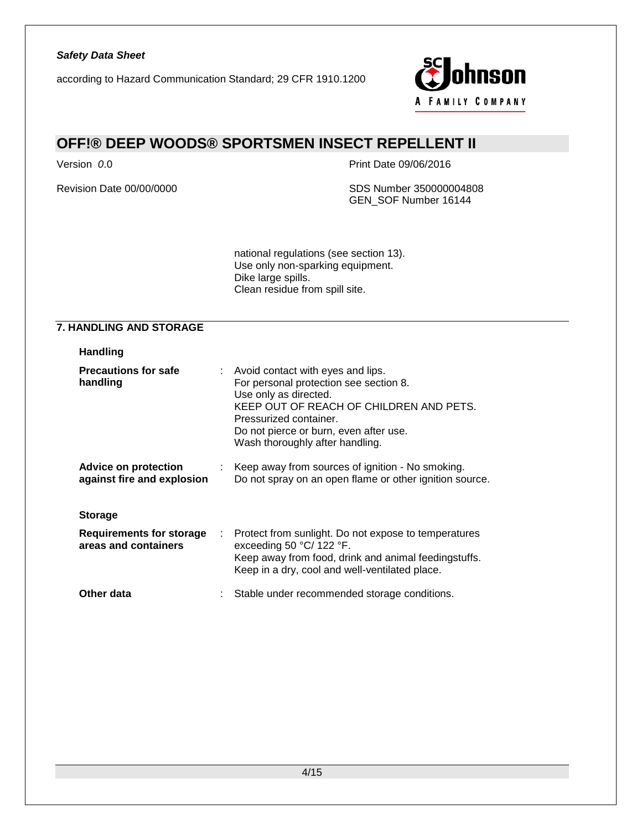

# **OFF!® DEEP WOODS® SPORTSMEN INSECT REPELLENT II**

Version *0*.0 Print Date 09/06/2016

Revision Date 00/00/0000 SDS Number 350000004808 GEN\_SOF Number 16144

> national regulations (see section 13). Use only non-sparking equipment. Dike large spills. Clean residue from spill site.

#### **7. HANDLING AND STORAGE**

| <b>Handling</b>                                         |                                                                                                                                                                                                                                                          |
|---------------------------------------------------------|----------------------------------------------------------------------------------------------------------------------------------------------------------------------------------------------------------------------------------------------------------|
| <b>Precautions for safe</b><br>handling                 | : Avoid contact with eyes and lips.<br>For personal protection see section 8.<br>Use only as directed.<br>KEEP OUT OF REACH OF CHILDREN AND PETS.<br>Pressurized container.<br>Do not pierce or burn, even after use.<br>Wash thoroughly after handling. |
| Advice on protection<br>against fire and explosion      | : Keep away from sources of ignition - No smoking.<br>Do not spray on an open flame or other ignition source.                                                                                                                                            |
| <b>Storage</b>                                          |                                                                                                                                                                                                                                                          |
| <b>Requirements for storage</b><br>areas and containers | : Protect from sunlight. Do not expose to temperatures<br>exceeding 50 °C/ 122 °F.<br>Keep away from food, drink and animal feedingstuffs.<br>Keep in a dry, cool and well-ventilated place.                                                             |
| Other data                                              | Stable under recommended storage conditions.                                                                                                                                                                                                             |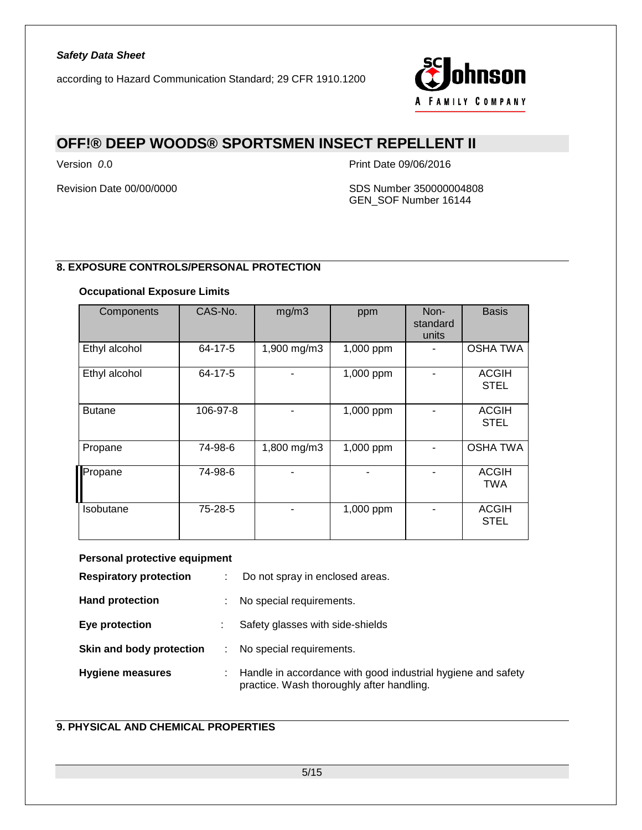

## **OFF!® DEEP WOODS® SPORTSMEN INSECT REPELLENT II**

Version *0*.0 Print Date 09/06/2016

Revision Date 00/00/0000 SDS Number 350000004808 GEN\_SOF Number 16144

### **8. EXPOSURE CONTROLS/PERSONAL PROTECTION**

#### **Occupational Exposure Limits**

| Components    | CAS-No.  | mg/m3       | ppm       | Non-<br>standard<br>units | <b>Basis</b>                |
|---------------|----------|-------------|-----------|---------------------------|-----------------------------|
| Ethyl alcohol | 64-17-5  | 1,900 mg/m3 | 1,000 ppm |                           | <b>OSHA TWA</b>             |
| Ethyl alcohol | 64-17-5  |             | 1,000 ppm |                           | <b>ACGIH</b><br><b>STEL</b> |
| <b>Butane</b> | 106-97-8 |             | 1,000 ppm |                           | <b>ACGIH</b><br><b>STEL</b> |
| Propane       | 74-98-6  | 1,800 mg/m3 | 1,000 ppm |                           | <b>OSHA TWA</b>             |
| Propane       | 74-98-6  |             |           |                           | <b>ACGIH</b><br><b>TWA</b>  |
| Isobutane     | 75-28-5  |             | 1,000 ppm |                           | <b>ACGIH</b><br><b>STEL</b> |

#### **Personal protective equipment**

| <b>Respiratory protection</b> | ÷ | Do not spray in enclosed areas.                                                                           |
|-------------------------------|---|-----------------------------------------------------------------------------------------------------------|
| <b>Hand protection</b>        | ÷ | No special requirements.                                                                                  |
| Eye protection                |   | Safety glasses with side-shields                                                                          |
| Skin and body protection      |   | No special requirements.                                                                                  |
| <b>Hygiene measures</b>       | ÷ | Handle in accordance with good industrial hygiene and safety<br>practice. Wash thoroughly after handling. |

### **9. PHYSICAL AND CHEMICAL PROPERTIES**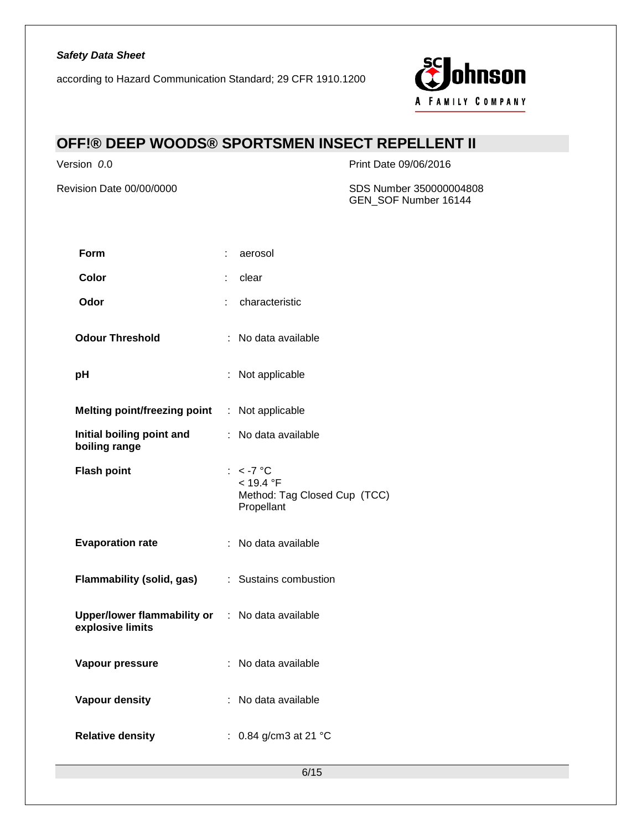according to Hazard Communication Standard; 29 CFR 1910.1200



# **OFF!® DEEP WOODS® SPORTSMEN INSECT REPELLENT II**

Version *0*.0 Print Date 09/06/2016

Revision Date 00/00/0000 SDS Number 350000004808 GEN\_SOF Number 16144

| <b>Form</b>                                                         | aerosol                                                                |
|---------------------------------------------------------------------|------------------------------------------------------------------------|
| Color                                                               | clear<br>t                                                             |
| Odor                                                                | characteristic<br>÷                                                    |
| <b>Odour Threshold</b>                                              | : No data available                                                    |
| pH                                                                  | : Not applicable                                                       |
| <b>Melting point/freezing point</b>                                 | : Not applicable                                                       |
| Initial boiling point and<br>boiling range                          | : No data available                                                    |
| <b>Flash point</b>                                                  | : $< -7$ °C<br>< 19.4 °F<br>Method: Tag Closed Cup (TCC)<br>Propellant |
| <b>Evaporation rate</b>                                             | : No data available                                                    |
| Flammability (solid, gas)                                           | : Sustains combustion                                                  |
| Upper/lower flammability or : No data available<br>explosive limits |                                                                        |
| Vapour pressure                                                     | : No data available                                                    |
| Vapour density                                                      | : No data available                                                    |
| <b>Relative density</b>                                             | : $0.84$ g/cm3 at 21 °C                                                |

6/15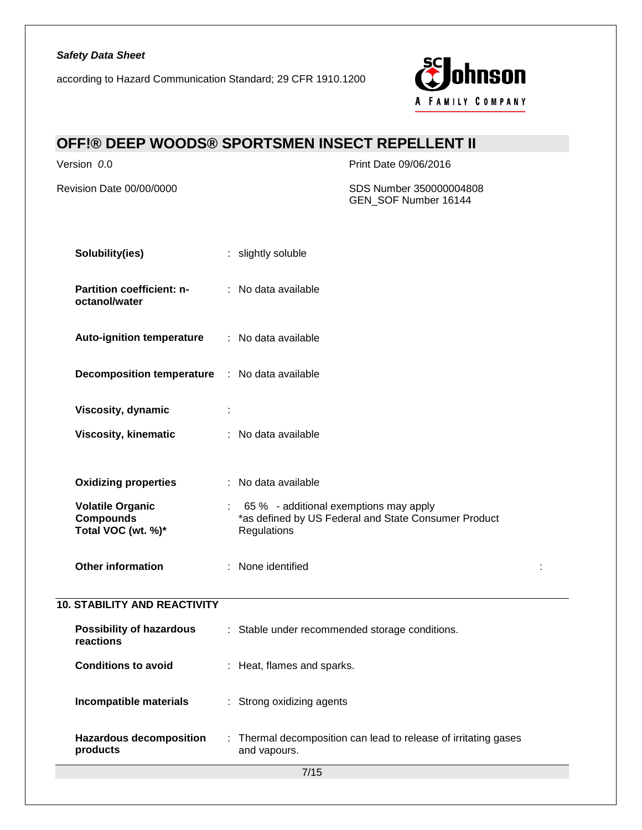according to Hazard Communication Standard; 29 CFR 1910.1200



# **OFF!® DEEP WOODS® SPORTSMEN INSECT REPELLENT II**

Version *0*.0 Print Date 09/06/2016

Revision Date 00/00/0000 SDS Number 350000004808 GEN\_SOF Number 16144

| Solubility(ies)                                                   | : slightly soluble                                                                                            |  |
|-------------------------------------------------------------------|---------------------------------------------------------------------------------------------------------------|--|
| Partition coefficient: n-<br>octanol/water                        | : No data available                                                                                           |  |
| <b>Auto-ignition temperature</b>                                  | : No data available                                                                                           |  |
| <b>Decomposition temperature</b>                                  | : No data available                                                                                           |  |
| Viscosity, dynamic                                                |                                                                                                               |  |
| Viscosity, kinematic                                              | : No data available                                                                                           |  |
| <b>Oxidizing properties</b>                                       | : No data available                                                                                           |  |
| <b>Volatile Organic</b><br><b>Compounds</b><br>Total VOC (wt. %)* | 65 % - additional exemptions may apply<br>*as defined by US Federal and State Consumer Product<br>Regulations |  |
| Other information                                                 | : None identified                                                                                             |  |
| <b>10. STABILITY AND REACTIVITY</b>                               |                                                                                                               |  |
| <b>Possibility of hazardous</b><br>reactions                      | : Stable under recommended storage conditions.                                                                |  |
| <b>Conditions to avoid</b>                                        | : Heat, flames and sparks.                                                                                    |  |
| Incompatible materials                                            | : Strong oxidizing agents                                                                                     |  |
| <b>Hazardous decomposition</b><br>products                        | : Thermal decomposition can lead to release of irritating gases<br>and vapours.                               |  |
|                                                                   | $7/15$                                                                                                        |  |
|                                                                   |                                                                                                               |  |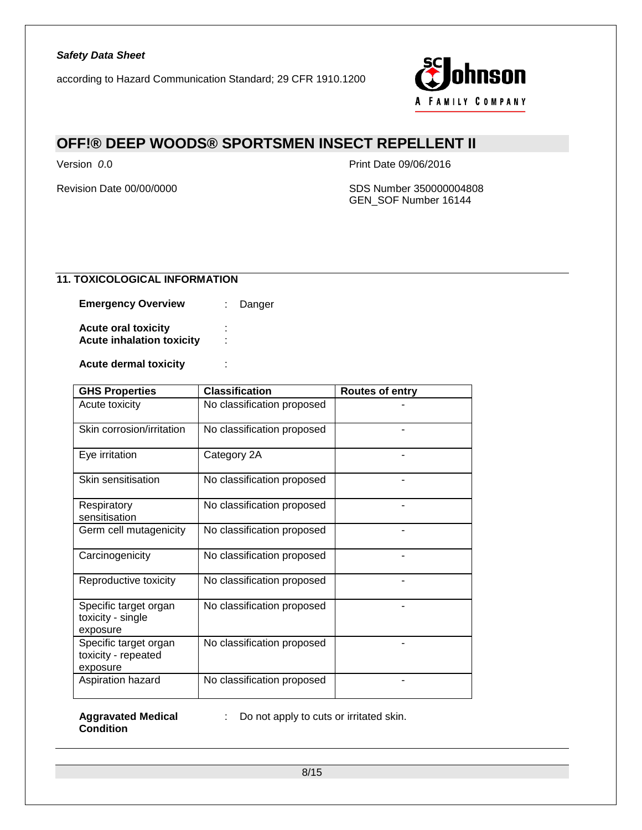

# **OFF!® DEEP WOODS® SPORTSMEN INSECT REPELLENT II**

Version *0*.0 Print Date 09/06/2016

Revision Date 00/00/0000 SDS Number 350000004808 GEN\_SOF Number 16144

### **11. TOXICOLOGICAL INFORMATION**

**Emergency Overview : Danger** 

**Acute oral toxicity** : **Acute inhalation toxicity** :

**Acute dermal toxicity** :

| <b>GHS Properties</b>                                    | <b>Classification</b>      | <b>Routes of entry</b> |
|----------------------------------------------------------|----------------------------|------------------------|
| Acute toxicity                                           | No classification proposed |                        |
| Skin corrosion/irritation                                | No classification proposed |                        |
| Eye irritation                                           | Category 2A                |                        |
| Skin sensitisation                                       | No classification proposed |                        |
| Respiratory<br>sensitisation                             | No classification proposed |                        |
| Germ cell mutagenicity                                   | No classification proposed |                        |
| Carcinogenicity                                          | No classification proposed |                        |
| Reproductive toxicity                                    | No classification proposed |                        |
| Specific target organ<br>toxicity - single<br>exposure   | No classification proposed |                        |
| Specific target organ<br>toxicity - repeated<br>exposure | No classification proposed |                        |
| Aspiration hazard                                        | No classification proposed |                        |

**Aggravated Medical Condition**

: Do not apply to cuts or irritated skin.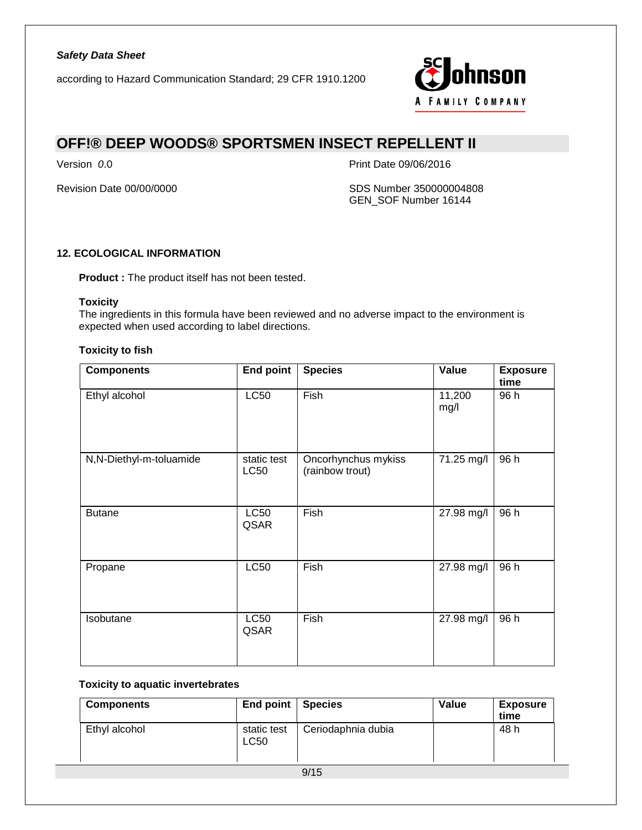

## **OFF!® DEEP WOODS® SPORTSMEN INSECT REPELLENT II**

Version *0*.0 Print Date 09/06/2016

Revision Date 00/00/0000 SDS Number 350000004808 GEN\_SOF Number 16144

### **12. ECOLOGICAL INFORMATION**

**Product :** The product itself has not been tested.

#### **Toxicity**

The ingredients in this formula have been reviewed and no adverse impact to the environment is expected when used according to label directions.

#### **Toxicity to fish**

| <b>Components</b>       | <b>End point</b>           | <b>Species</b>                         | Value          | <b>Exposure</b><br>time |
|-------------------------|----------------------------|----------------------------------------|----------------|-------------------------|
| Ethyl alcohol           | <b>LC50</b>                | Fish                                   | 11,200<br>mg/l | 96 h                    |
| N,N-Diethyl-m-toluamide | static test<br><b>LC50</b> | Oncorhynchus mykiss<br>(rainbow trout) | 71.25 mg/l     | 96 h                    |
| <b>Butane</b>           | <b>LC50</b><br>QSAR        | Fish                                   | 27.98 mg/l     | 96 h                    |
| Propane                 | <b>LC50</b>                | Fish                                   | 27.98 mg/l     | 96 h                    |
| Isobutane               | <b>LC50</b><br>QSAR        | Fish                                   | 27.98 mg/l     | 96 h                    |

#### **Toxicity to aquatic invertebrates**

| <b>Components</b> | <b>End point</b>           | <b>Species</b>     | Value | <b>Exposure</b><br>time |
|-------------------|----------------------------|--------------------|-------|-------------------------|
| Ethyl alcohol     | static test<br><b>LC50</b> | Ceriodaphnia dubia |       | 48 h                    |
|                   |                            | 9/15               |       |                         |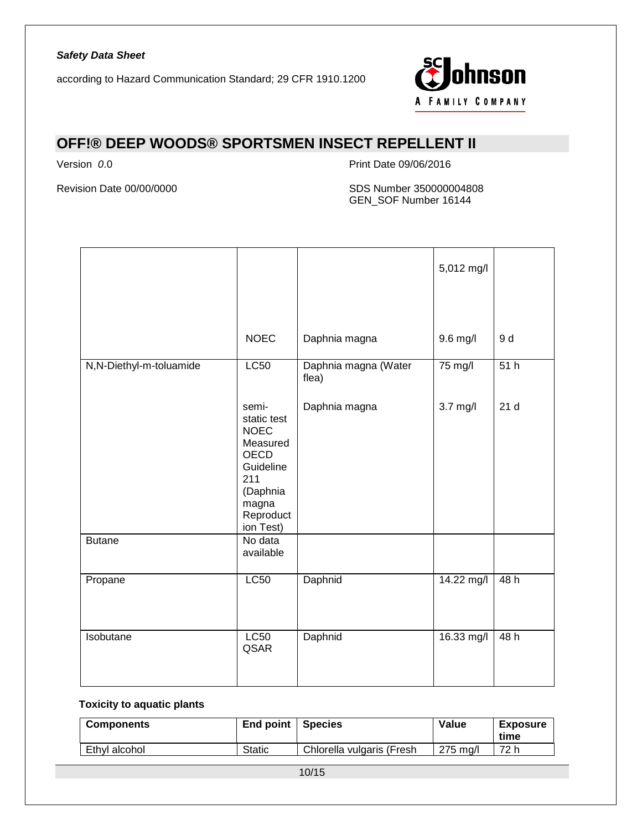

# **OFF!® DEEP WOODS® SPORTSMEN INSECT REPELLENT II**

Version *0*.0 Print Date 09/06/2016

Revision Date 00/00/0000 SDS Number 350000004808 GEN\_SOF Number 16144

|                         |                                                                                                                                   |                               | 5,012 mg/l |                 |
|-------------------------|-----------------------------------------------------------------------------------------------------------------------------------|-------------------------------|------------|-----------------|
|                         | <b>NOEC</b>                                                                                                                       | Daphnia magna                 | 9.6 mg/l   | 9 d             |
| N,N-Diethyl-m-toluamide | <b>LC50</b>                                                                                                                       | Daphnia magna (Water<br>flea) | 75 mg/l    | 51h             |
|                         | semi-<br>static test<br><b>NOEC</b><br>Measured<br><b>OECD</b><br>Guideline<br>211<br>(Daphnia<br>magna<br>Reproduct<br>ion Test) | Daphnia magna                 | $3.7$ mg/l | 21 <sub>d</sub> |
| <b>Butane</b>           | No data<br>available                                                                                                              |                               |            |                 |
| Propane                 | <b>LC50</b>                                                                                                                       | Daphnid                       | 14.22 mg/l | 48h             |
| Isobutane               | L <sub>C</sub> 50<br>QSAR                                                                                                         | Daphnid                       | 16.33 mg/l | 48h             |

### **Toxicity to aquatic plants**

| <b>Components</b> | End point   Species |                           | Value    | <b>Exposure</b><br>time |
|-------------------|---------------------|---------------------------|----------|-------------------------|
| Ethyl alcohol     | Static              | Chlorella vulgaris (Fresh | 275 ma/l | 72 h                    |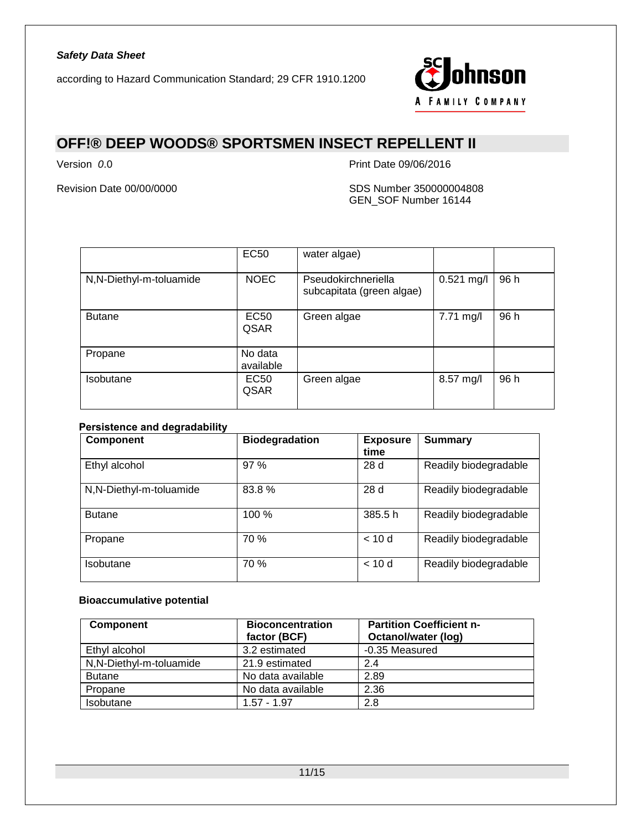

# **OFF!® DEEP WOODS® SPORTSMEN INSECT REPELLENT II**

Version *0*.0 Print Date 09/06/2016

Revision Date 00/00/0000 SDS Number 350000004808 GEN\_SOF Number 16144

|                         | EC50                 | water algae)                                     |              |      |
|-------------------------|----------------------|--------------------------------------------------|--------------|------|
| N,N-Diethyl-m-toluamide | <b>NOEC</b>          | Pseudokirchneriella<br>subcapitata (green algae) | $0.521$ mg/l | 96 h |
| <b>Butane</b>           | <b>EC50</b><br>QSAR  | Green algae                                      | 7.71 mg/l    | 96 h |
| Propane                 | No data<br>available |                                                  |              |      |
| Isobutane               | EC50<br>QSAR         | Green algae                                      | 8.57 mg/l    | 96 h |

### **Persistence and degradability**

| <b>Component</b>        | <b>Biodegradation</b> | <b>Exposure</b><br>time | <b>Summary</b>        |
|-------------------------|-----------------------|-------------------------|-----------------------|
| Ethyl alcohol           | 97 %                  | 28 d                    | Readily biodegradable |
| N,N-Diethyl-m-toluamide | 83.8%                 | 28 d                    | Readily biodegradable |
| <b>Butane</b>           | $100\%$               | 385.5h                  | Readily biodegradable |
| Propane                 | 70 %                  | < 10d                   | Readily biodegradable |
| Isobutane               | 70 %                  | < 10d                   | Readily biodegradable |

### **Bioaccumulative potential**

| Component                | <b>Bioconcentration</b><br>factor (BCF) | <b>Partition Coefficient n-</b><br><b>Octanol/water (log)</b> |
|--------------------------|-----------------------------------------|---------------------------------------------------------------|
| Ethyl alcohol            | 3.2 estimated                           | -0.35 Measured                                                |
| N, N-Diethyl-m-toluamide | 21.9 estimated                          | 2.4                                                           |
| <b>Butane</b>            | No data available                       | 2.89                                                          |
| Propane                  | No data available                       | 2.36                                                          |
| <b>Isobutane</b>         | $1.57 - 1.97$                           | 2.8                                                           |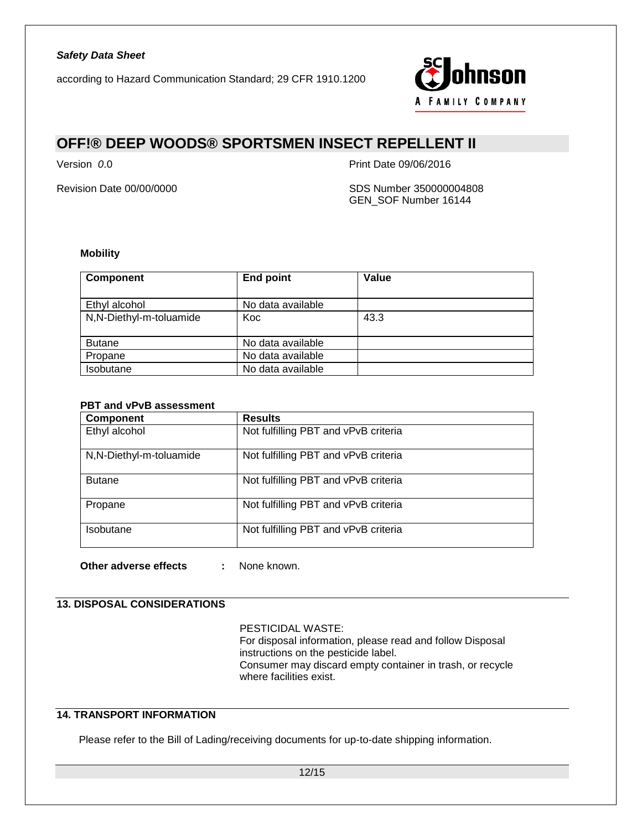according to Hazard Communication Standard; 29 CFR 1910.1200



# **OFF!® DEEP WOODS® SPORTSMEN INSECT REPELLENT II**

Version *0*.0 Print Date 09/06/2016

Revision Date 00/00/0000 SDS Number 350000004808 GEN\_SOF Number 16144

#### **Mobility**

| <b>Component</b>        | <b>End point</b>  | Value |
|-------------------------|-------------------|-------|
| Ethyl alcohol           | No data available |       |
| N,N-Diethyl-m-toluamide | Koc               | 43.3  |
| <b>Butane</b>           | No data available |       |
| Propane                 | No data available |       |
| Isobutane               | No data available |       |

### **PBT and vPvB assessment**

| <b>Component</b>        | <b>Results</b>                       |
|-------------------------|--------------------------------------|
| Ethyl alcohol           | Not fulfilling PBT and vPvB criteria |
| N,N-Diethyl-m-toluamide | Not fulfilling PBT and vPvB criteria |
| <b>Butane</b>           | Not fulfilling PBT and vPvB criteria |
| Propane                 | Not fulfilling PBT and vPvB criteria |
| Isobutane               | Not fulfilling PBT and vPvB criteria |

**Other adverse effects :** None known.

#### **13. DISPOSAL CONSIDERATIONS**

PESTICIDAL WASTE:

For disposal information, please read and follow Disposal instructions on the pesticide label. Consumer may discard empty container in trash, or recycle where facilities exist.

#### **14. TRANSPORT INFORMATION**

Please refer to the Bill of Lading/receiving documents for up-to-date shipping information.

12/15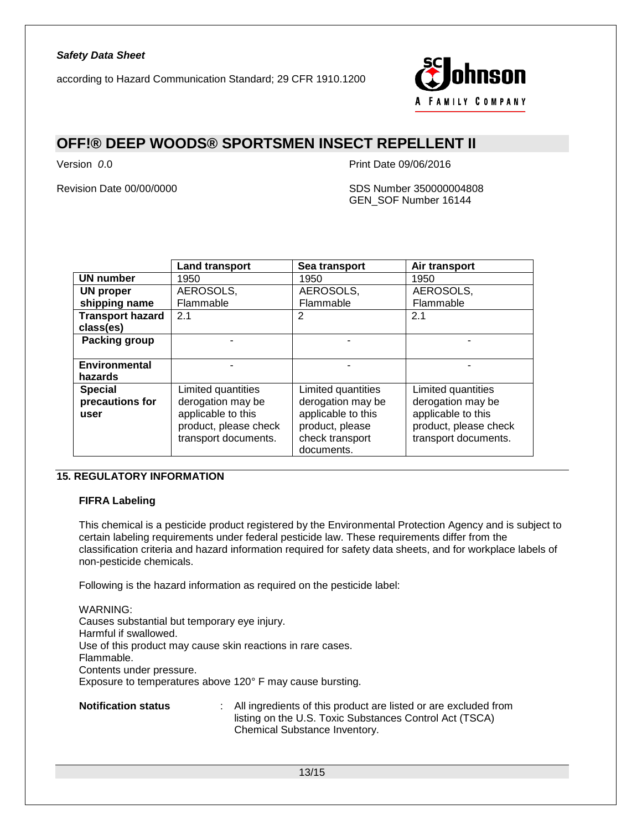

### **OFF!® DEEP WOODS® SPORTSMEN INSECT REPELLENT II**

Version *0*.0 Print Date 09/06/2016

Revision Date 00/00/0000 SDS Number 350000004808 GEN\_SOF Number 16144

|                         | <b>Land transport</b> | Sea transport      | Air transport         |
|-------------------------|-----------------------|--------------------|-----------------------|
| <b>UN number</b>        | 1950                  | 1950               | 1950                  |
| <b>UN proper</b>        | AEROSOLS,             | AEROSOLS,          | AEROSOLS,             |
| shipping name           | Flammable             | Flammable          | Flammable             |
| <b>Transport hazard</b> | 2.1                   | 2                  | 2.1                   |
| class(es)               |                       |                    |                       |
| Packing group           |                       |                    |                       |
|                         |                       |                    |                       |
| Environmental           |                       |                    |                       |
| hazards                 |                       |                    |                       |
| <b>Special</b>          | Limited quantities    | Limited quantities | Limited quantities    |
| precautions for         | derogation may be     | derogation may be  | derogation may be     |
| user                    | applicable to this    | applicable to this | applicable to this    |
|                         | product, please check | product, please    | product, please check |
|                         | transport documents.  | check transport    | transport documents.  |
|                         |                       | documents.         |                       |

### **15. REGULATORY INFORMATION**

#### **FIFRA Labeling**

This chemical is a pesticide product registered by the Environmental Protection Agency and is subject to certain labeling requirements under federal pesticide law. These requirements differ from the classification criteria and hazard information required for safety data sheets, and for workplace labels of non-pesticide chemicals.

Following is the hazard information as required on the pesticide label:

WARNING: Causes substantial but temporary eye injury. Harmful if swallowed. Use of this product may cause skin reactions in rare cases. Flammable. Contents under pressure. Exposure to temperatures above 120° F may cause bursting.

**Notification status** : All ingredients of this product are listed or are excluded from listing on the U.S. Toxic Substances Control Act (TSCA) Chemical Substance Inventory.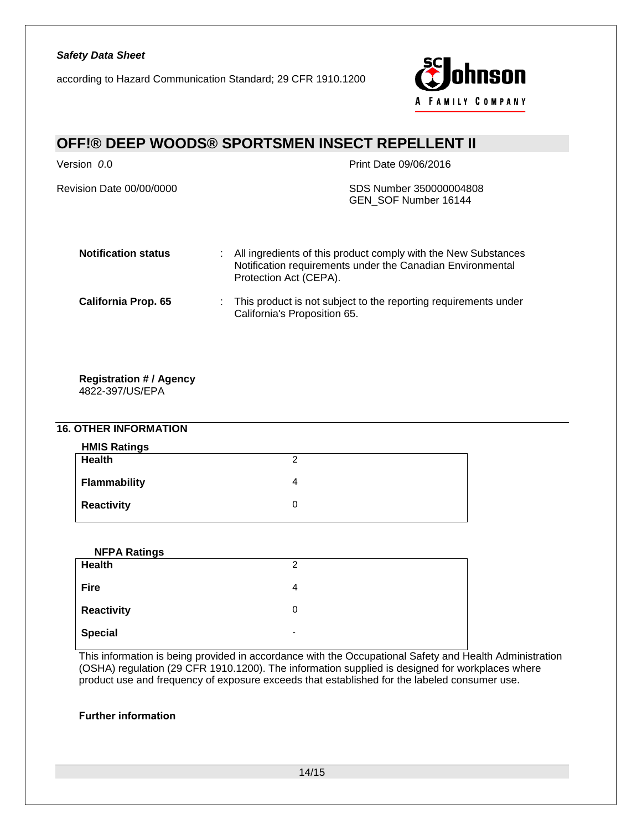according to Hazard Communication Standard; 29 CFR 1910.1200



# **OFF!® DEEP WOODS® SPORTSMEN INSECT REPELLENT II**

Revision Date 00/00/0000 SDS Number 350000004808

Version *0*.0 Print Date 09/06/2016

GEN\_SOF Number 16144

| <b>Notification status</b> | : All ingredients of this product comply with the New Substances<br>Notification requirements under the Canadian Environmental<br>Protection Act (CEPA). |
|----------------------------|----------------------------------------------------------------------------------------------------------------------------------------------------------|
| <b>California Prop. 65</b> | : This product is not subject to the reporting requirements under<br>California's Proposition 65.                                                        |

### **Registration # / Agency**

4822-397/US/EPA

### **16. OTHER INFORMATION**

| <b>HMIS Ratings</b> |   |
|---------------------|---|
| Health              | ◠ |
| <b>Flammability</b> | 4 |
| <b>Reactivity</b>   |   |

| <b>NFPA Ratings</b> |   |
|---------------------|---|
| Health              | 2 |
| <b>Fire</b>         | 4 |
| <b>Reactivity</b>   | 0 |
| <b>Special</b>      | ٠ |

This information is being provided in accordance with the Occupational Safety and Health Administration (OSHA) regulation (29 CFR 1910.1200). The information supplied is designed for workplaces where product use and frequency of exposure exceeds that established for the labeled consumer use.

### **Further information**